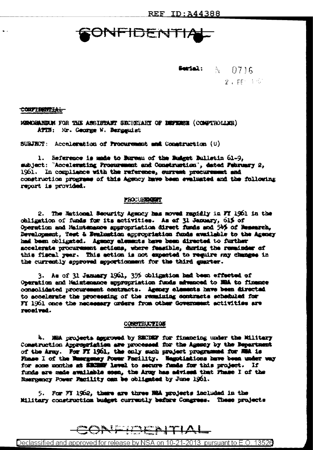# **INFIDENTIA**

**Sected:**  $N = 0716$  $2.$  FF  $\pm 0^\circ$ 

### <del>coupidential</del>

HEMARKER FOR THE ASSISTANT SECRETARY OF BEFERE (COMPTROLLER) ATIN: Mr. Ceorge W. Bergguist

SUBJECT: Acceleration of Procurement and Construction (U)

1. Seference is made to Bureau of the Rudget Bulletin 61-9. subject: "Accelerating Prosurement and Construction", dated February 2, 1961. In compliance with the reference, current procurement and construction programs of this Agency have been evaluated and the following report is provided.

## PROCURRENT

2. The National Security Agency has moved rapidly in Ff 1961 in the obligation of funds for its activities. As of 31 January, 61% of Operation and Maintemance appropriation direct funds and 54% of Messarch. Development, Test & Bralmation appropriation funds available to the Agency had been obligated. Agency elements have been directed to further accelerate procurement actions, where feasible, during the remainder of this fiscal year. This action is not expected to require may changes in the currently approved apportionment for the third quarter.

3. As of 31 January 1961, 37% chligation had been effected of Operation and Maintenance appropriation funds advanced to NRA to finance consolidated procurement contracts. Agency elements have been directed to accelerate the proceeding of the remaining contracts scheduled for FY 1961 once the necessary orders from other Government activities are reord ved.

#### CONSTRUCTION

4. MEA projects aggrowed by SECDEF for financing under the Military Construction Appropriation are processed for the Agency by the Bepartment of the Army. For FX 1961, the only such project programmed for MMA is Finare I of the Massguney Power Facility. Hagotiations have been under way for some months at SECREF level to secure funds for this project. If funds are made available soon, the Army has advised that Fhase I of the Reergency Power Facility can be obligated by June 1961.

5. For FT 1962, there are three NRA projects included in the Military construction budget currently before Congress. These projects

# FIDENITIAL

<u>Declassified and approved for release by NSA on 10-21-2013 pursuant to E.O. 13526</u>